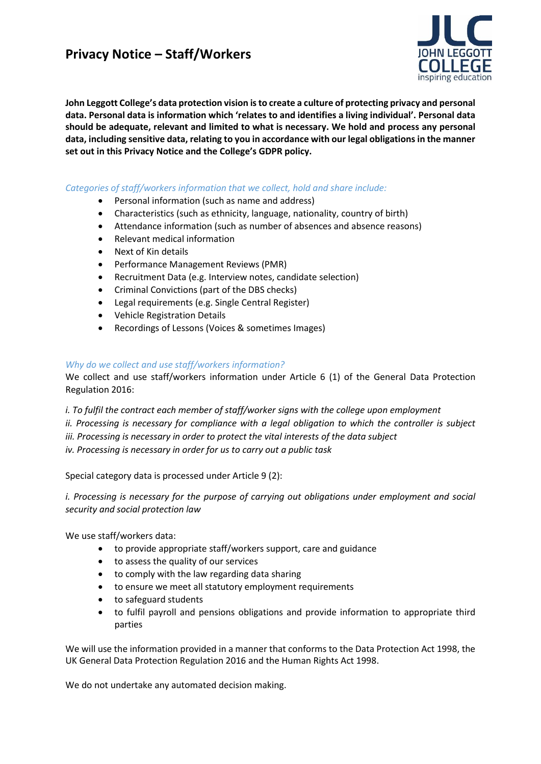

**John Leggott College's data protection vision is to create a culture of protecting privacy and personal data. Personal data is information which 'relates to and identifies a living individual'. Personal data should be adequate, relevant and limited to what is necessary. We hold and process any personal data, including sensitive data, relating to you in accordance with our legal obligations in the manner set out in this Privacy Notice and the College's GDPR policy.** 

## *Categories of staff/workers information that we collect, hold and share include:*

- Personal information (such as name and address)
- Characteristics (such as ethnicity, language, nationality, country of birth)
- Attendance information (such as number of absences and absence reasons)
- Relevant medical information
- Next of Kin details
- Performance Management Reviews (PMR)
- Recruitment Data (e.g. Interview notes, candidate selection)
- Criminal Convictions (part of the DBS checks)
- Legal requirements (e.g. Single Central Register)
- Vehicle Registration Details
- Recordings of Lessons (Voices & sometimes Images)

### *Why do we collect and use staff/workers information?*

We collect and use staff/workers information under Article 6 (1) of the General Data Protection Regulation 2016:

*i. To fulfil the contract each member of staff/worker signs with the college upon employment ii. Processing is necessary for compliance with a legal obligation to which the controller is subject iii. Processing is necessary in order to protect the vital interests of the data subject iv. Processing is necessary in order for us to carry out a public task*

Special category data is processed under Article 9 (2):

*i. Processing is necessary for the purpose of carrying out obligations under employment and social security and social protection law*

We use staff/workers data:

- to provide appropriate staff/workers support, care and guidance
- to assess the quality of our services
- to comply with the law regarding data sharing
- to ensure we meet all statutory employment requirements
- to safeguard students
- to fulfil payroll and pensions obligations and provide information to appropriate third parties

We will use the information provided in a manner that conforms to the Data Protection Act 1998, the UK General Data Protection Regulation 2016 and the Human Rights Act 1998.

We do not undertake any automated decision making.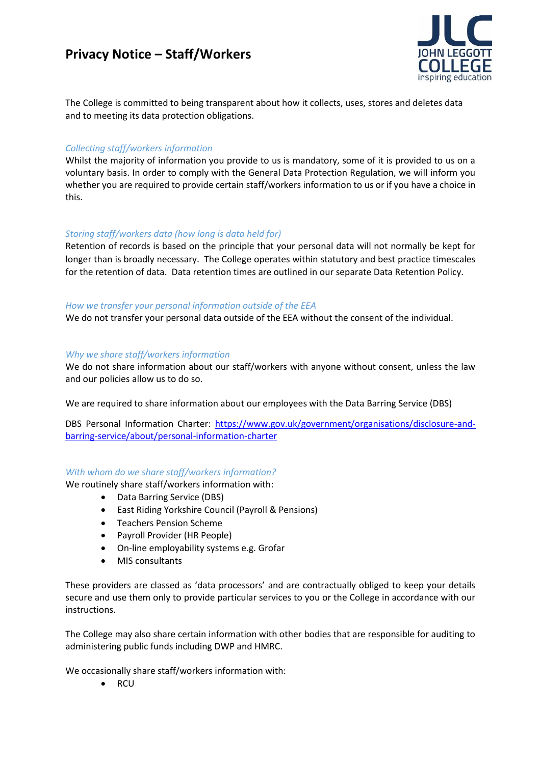

The College is committed to being transparent about how it collects, uses, stores and deletes data and to meeting its data protection obligations.

## *Collecting staff/workers information*

Whilst the majority of information you provide to us is mandatory, some of it is provided to us on a voluntary basis. In order to comply with the General Data Protection Regulation, we will inform you whether you are required to provide certain staff/workers information to us or if you have a choice in this.

## *Storing staff/workers data (how long is data held for)*

Retention of records is based on the principle that your personal data will not normally be kept for longer than is broadly necessary. The College operates within statutory and best practice timescales for the retention of data. Data retention times are outlined in our separate Data Retention Policy.

### *How we transfer your personal information outside of the EEA*

We do not transfer your personal data outside of the EEA without the consent of the individual.

## *Why we share staff/workers information*

We do not share information about our staff/workers with anyone without consent, unless the law and our policies allow us to do so.

We are required to share information about our employees with the Data Barring Service (DBS)

DBS Personal Information Charter: [https://www.gov.uk/government/organisations/disclosure-and](https://www.gov.uk/government/organisations/disclosure-and-barring-service/about/personal-information-charter)[barring-service/about/personal-information-charter](https://www.gov.uk/government/organisations/disclosure-and-barring-service/about/personal-information-charter)

# *With whom do we share staff/workers information?*

We routinely share staff/workers information with:

- Data Barring Service (DBS)
- East Riding Yorkshire Council (Payroll & Pensions)
- Teachers Pension Scheme
- Payroll Provider (HR People)
- On-line employability systems e.g. Grofar
- MIS consultants

These providers are classed as 'data processors' and are contractually obliged to keep your details secure and use them only to provide particular services to you or the College in accordance with our instructions.

The College may also share certain information with other bodies that are responsible for auditing to administering public funds including DWP and HMRC.

We occasionally share staff/workers information with:

 $\bullet$  RCU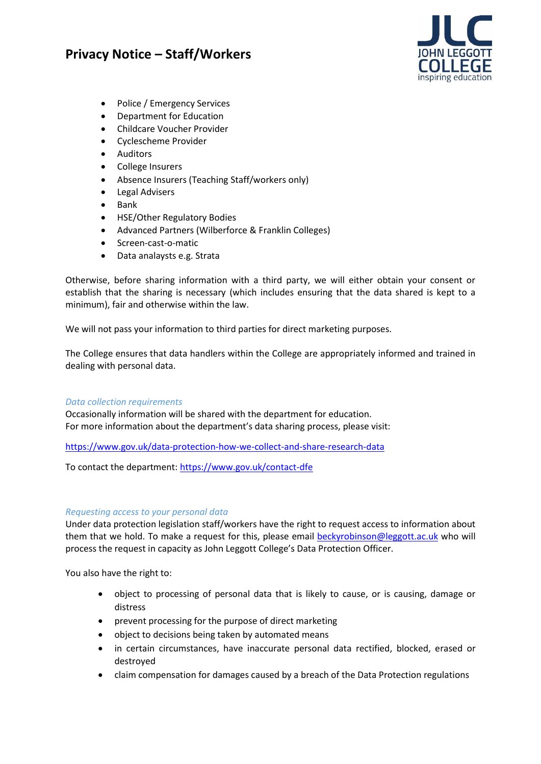

- Police / Emergency Services
- Department for Education
- Childcare Voucher Provider
- Cyclescheme Provider
- Auditors
- College Insurers
- Absence Insurers (Teaching Staff/workers only)
- Legal Advisers
- $\bullet$  Bank
- HSE/Other Regulatory Bodies
- Advanced Partners (Wilberforce & Franklin Colleges)
- Screen-cast-o-matic
- Data analaysts e.g. Strata

Otherwise, before sharing information with a third party, we will either obtain your consent or establish that the sharing is necessary (which includes ensuring that the data shared is kept to a minimum), fair and otherwise within the law.

We will not pass your information to third parties for direct marketing purposes.

The College ensures that data handlers within the College are appropriately informed and trained in dealing with personal data.

### *Data collection requirements*

Occasionally information will be shared with the department for education. For more information about the department's data sharing process, please visit:

<https://www.gov.uk/data-protection-how-we-collect-and-share-research-data>

To contact the department: <https://www.gov.uk/contact-dfe>

### *Requesting access to your personal data*

Under data protection legislation staff/workers have the right to request access to information about them that we hold. To make a request for this, please email [beckyrobinson@leggott.ac.uk](mailto:beckyrobinson@leggott.ac.uk) who will process the request in capacity as John Leggott College's Data Protection Officer.

You also have the right to:

- object to processing of personal data that is likely to cause, or is causing, damage or distress
- prevent processing for the purpose of direct marketing
- object to decisions being taken by automated means
- in certain circumstances, have inaccurate personal data rectified, blocked, erased or destroyed
- claim compensation for damages caused by a breach of the Data Protection regulations